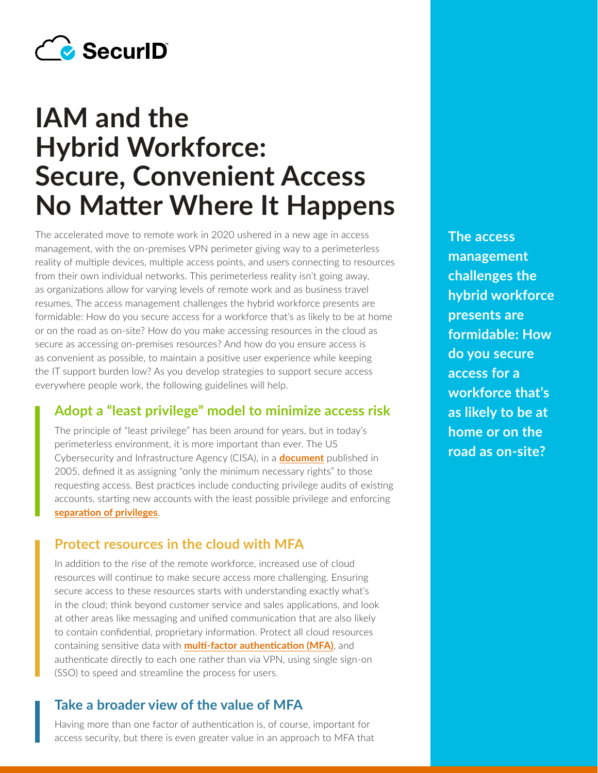

# **IAM and the Hybrid Workforce: Secure, Convenient Access No Matter Where It Happens**

The accelerated move to remote work in 2020 ushered in a new age in access management, with the on-premises VPN perimeter giving way to a perimeterless reality of multiple devices, multiple access points, and users connecting to resources from their own individual networks. This perimeterless reality isn't going away, as organizations allow for varying levels of remote work and as business travel resumes. The access management challenges the hybrid workforce presents are formidable: How do you secure access for a workforce that's as likely to be at home or on the road as on-site? How do you make accessing resources in the cloud as secure as accessing on-premises resources? And how do you ensure access is as convenient as possible, to maintain a positive user experience while keeping the IT support burden low? As you develop strategies to support secure access everywhere people work, the following guidelines will help.

# **Adopt a "least privilege" model to minimize access risk**

The principle of "least privilege" has been around for years, but in today's perimeterless environment, it is more important than ever. The US Cybersecurity and Infrastructure Agency (CISA), in a **[document](https://us-cert.cisa.gov/bsi/articles/knowledge/principles/least-privilege)** published in 2005, defined it as assigning "only the minimum necessary rights" to those requesting access. Best practices include conducting privilege audits of existing accounts, starting new accounts with the least possible privilege and enforcing **[separation of pr](https://us-cert.cisa.gov/bsi/articles/knowledge/principles/separation-of-privilege)ivileges**.

## **Protect resources in the cloud with MFA**

In addition to the rise of the remote workforce, increased use of cloud resources will continue to make secure access more challenging. Ensuring secure access to these resources starts with understanding exactly what's in the cloud; think beyond customer service and sales applications, and look at other areas like messaging and unified communication that are also likely to contain confidential, proprietary information. Protect all cloud resources containing sensitive data with **[multi-factor authentication \(MFA\)](https://www.securid.com/en-us/blog/the-language-of-cybersecurity/what-is-mfa)**, and authenticate directly to each one rather than via VPN, using single sign-on (SSO) to speed and streamline the process for users.

#### **Take a broader view of the value of MFA**

Having more than one factor of authentication is, of course, important for access security, but there is even greater value in an approach to MFA that

**The access management challenges the hybrid workforce presents are formidable: How do you secure access for a workforce that's as likely to be at home or on the road as on-site?**